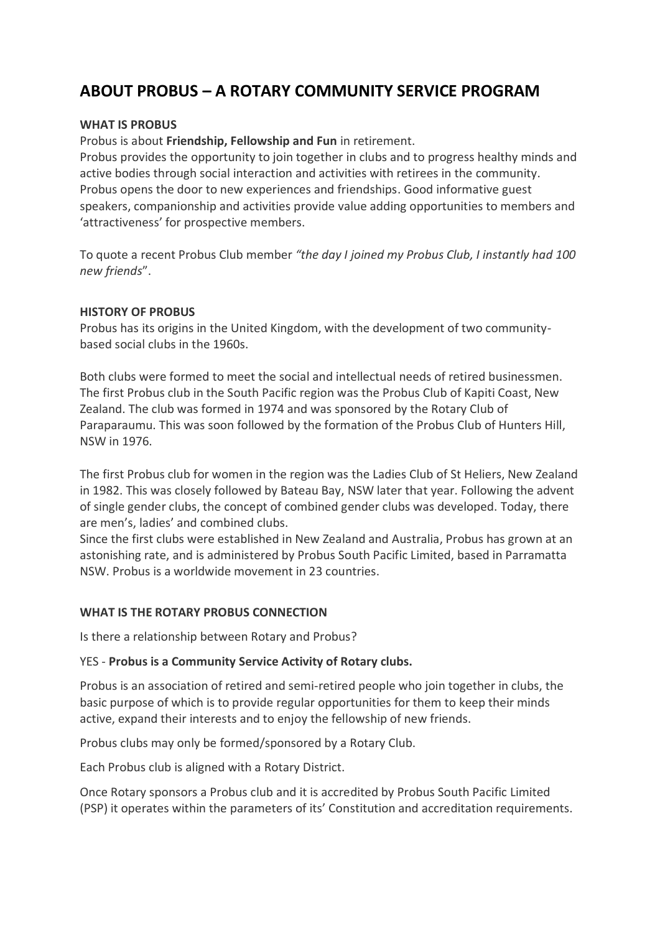# **ABOUT PROBUS – A ROTARY COMMUNITY SERVICE PROGRAM**

#### **WHAT IS PROBUS**

Probus is about **Friendship, Fellowship and Fun** in retirement.

Probus provides the opportunity to join together in clubs and to progress healthy minds and active bodies through social interaction and activities with retirees in the community. Probus opens the door to new experiences and friendships. Good informative guest speakers, companionship and activities provide value adding opportunities to members and 'attractiveness' for prospective members.

To quote a recent Probus Club member *"the day I joined my Probus Club, I instantly had 100 new friends*".

#### **HISTORY OF PROBUS**

Probus has its origins in the United Kingdom, with the development of two communitybased social clubs in the 1960s.

Both clubs were formed to meet the social and intellectual needs of retired businessmen. The first Probus club in the South Pacific region was the Probus Club of Kapiti Coast, New Zealand. The club was formed in 1974 and was sponsored by the Rotary Club of Paraparaumu. This was soon followed by the formation of the Probus Club of Hunters Hill, NSW in 1976.

The first Probus club for women in the region was the Ladies Club of St Heliers, New Zealand in 1982. This was closely followed by Bateau Bay, NSW later that year. Following the advent of single gender clubs, the concept of combined gender clubs was developed. Today, there are men's, ladies' and combined clubs.

Since the first clubs were established in New Zealand and Australia, Probus has grown at an astonishing rate, and is administered by Probus South Pacific Limited, based in Parramatta NSW. Probus is a worldwide movement in 23 countries.

# **WHAT IS THE ROTARY PROBUS CONNECTION**

Is there a relationship between Rotary and Probus?

# YES - **Probus is a Community Service Activity of Rotary clubs.**

Probus is an association of retired and semi-retired people who join together in clubs, the basic purpose of which is to provide regular opportunities for them to keep their minds active, expand their interests and to enjoy the fellowship of new friends.

Probus clubs may only be formed/sponsored by a Rotary Club.

Each Probus club is aligned with a Rotary District.

Once Rotary sponsors a Probus club and it is accredited by Probus South Pacific Limited (PSP) it operates within the parameters of its' Constitution and accreditation requirements.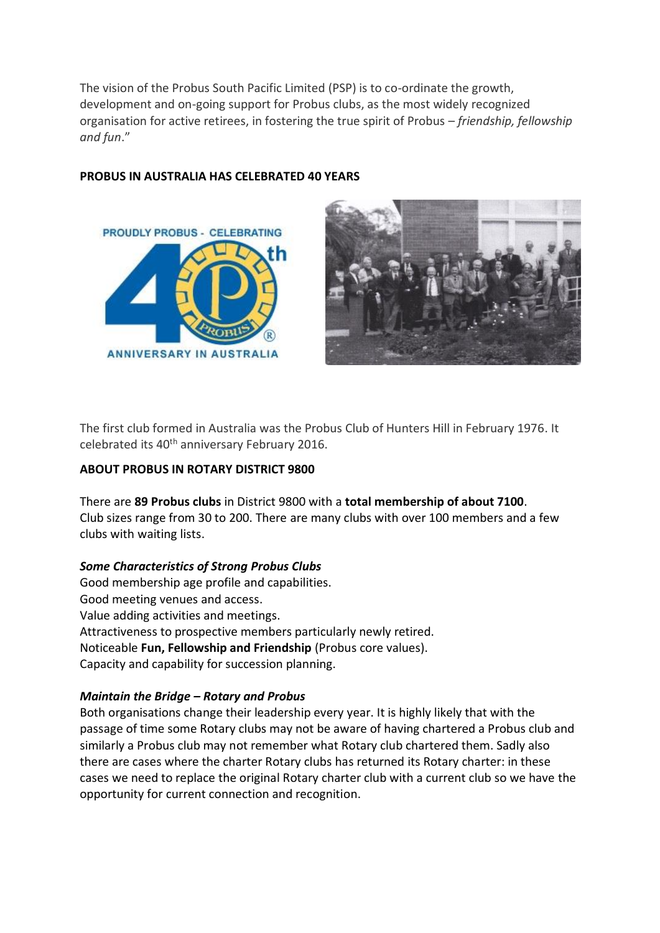The vision of the Probus South Pacific Limited (PSP) is to co-ordinate the growth, development and on-going support for Probus clubs, as the most widely recognized organisation for active retirees, in fostering the true spirit of Probus – *friendship, fellowship and fun*."



# **PROBUS IN AUSTRALIA HAS CELEBRATED 40 YEARS**



The first club formed in Australia was the Probus Club of Hunters Hill in February 1976. It celebrated its 40<sup>th</sup> anniversary February 2016.

#### **ABOUT PROBUS IN ROTARY DISTRICT 9800**

There are **89 Probus clubs** in District 9800 with a **total membership of about 7100**. Club sizes range from 30 to 200. There are many clubs with over 100 members and a few clubs with waiting lists.

#### *Some Characteristics of Strong Probus Clubs*

Good membership age profile and capabilities. Good meeting venues and access. Value adding activities and meetings. Attractiveness to prospective members particularly newly retired. Noticeable **Fun, Fellowship and Friendship** (Probus core values). Capacity and capability for succession planning.

# *Maintain the Bridge – Rotary and Probus*

Both organisations change their leadership every year. It is highly likely that with the passage of time some Rotary clubs may not be aware of having chartered a Probus club and similarly a Probus club may not remember what Rotary club chartered them. Sadly also there are cases where the charter Rotary clubs has returned its Rotary charter: in these cases we need to replace the original Rotary charter club with a current club so we have the opportunity for current connection and recognition.